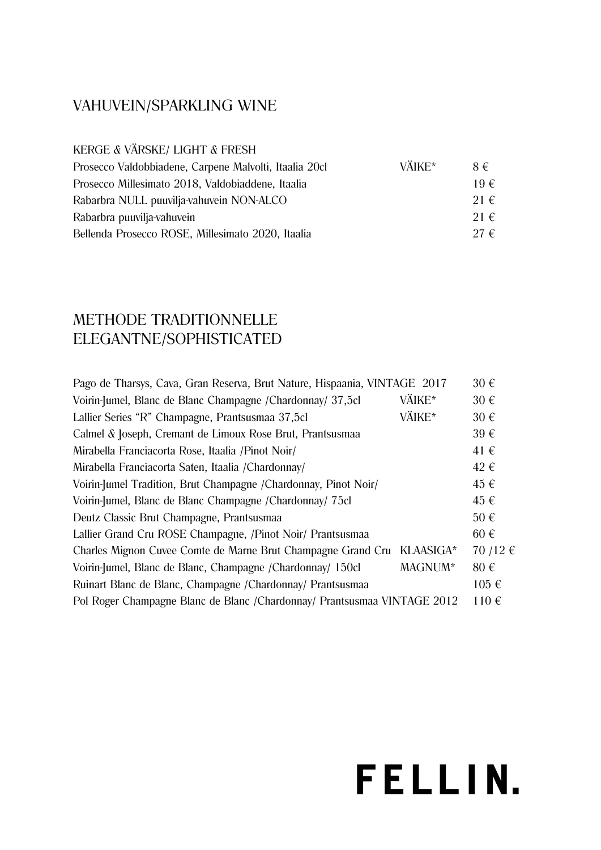### VAHUVEIN/SPARKLING WINE

KERGE & VÄRSKE/ LIGHT & FRESH

| Prosecco Valdobbiadene, Carpene Malvolti, Itaalia 20cl | VÄIKE* | $8 \in$  |
|--------------------------------------------------------|--------|----------|
| Prosecco Millesimato 2018, Valdobiaddene, Itaalia      |        | $19 \in$ |
| Rabarbra NULL puuvilja-vahuvein NON-ALCO               |        | $21 \in$ |
| Rabarbra puuvilja-vahuvein                             |        | $21 \in$ |
| Bellenda Prosecco ROSE, Millesimato 2020, Itaalia      |        | $27 \in$ |

### METHODE TRADITIONNELLE ELEGANTNE/SOPHISTICATED

| Pago de Tharsys, Cava, Gran Reserva, Brut Nature, Hispaania, VINTAGE 2017 |           | $30 \in$  |
|---------------------------------------------------------------------------|-----------|-----------|
| Voirin-Jumel, Blanc de Blanc Champagne / Chardonnay/ 37,5cl               | VÄIKE*    | $30 \in$  |
| Lallier Series "R" Champagne, Prantsusmaa 37,5cl                          | VÄIKE*    | $30 \in$  |
| Calmel & Joseph, Cremant de Limoux Rose Brut, Prantsusmaa                 |           | $39 \in$  |
| Mirabella Franciacorta Rose, Itaalia /Pinot Noir/                         |           | $41 \in$  |
| Mirabella Franciacorta Saten, Itaalia / Chardonnay/                       |           | $42 \in$  |
| Voirin-Jumel Tradition, Brut Champagne /Chardonnay, Pinot Noir/           |           | 45€       |
| Voirin-Jumel, Blanc de Blanc Champagne / Chardonnay/ 75cl                 |           | 45 €      |
| Deutz Classic Brut Champagne, Prantsusmaa                                 |           | $50 \in$  |
| Lallier Grand Cru ROSE Champagne, /Pinot Noir/ Prantsusmaa                |           | $60 \in$  |
| Charles Mignon Cuvee Comte de Marne Brut Champagne Grand Cru              | KLAASIGA* | 70 /12 €  |
| Voirin-Jumel, Blanc de Blanc, Champagne /Chardonnay/ 150cl                | MAGNUM*   | $80 \in$  |
| Ruinart Blanc de Blanc, Champagne /Chardonnay/ Prantsusmaa                |           | $105 \in$ |
| Pol Roger Champagne Blanc de Blanc /Chardonnay/ Prantsusmaa VINTAGE 2012  |           | $110 \in$ |
|                                                                           |           |           |

# FELLIN.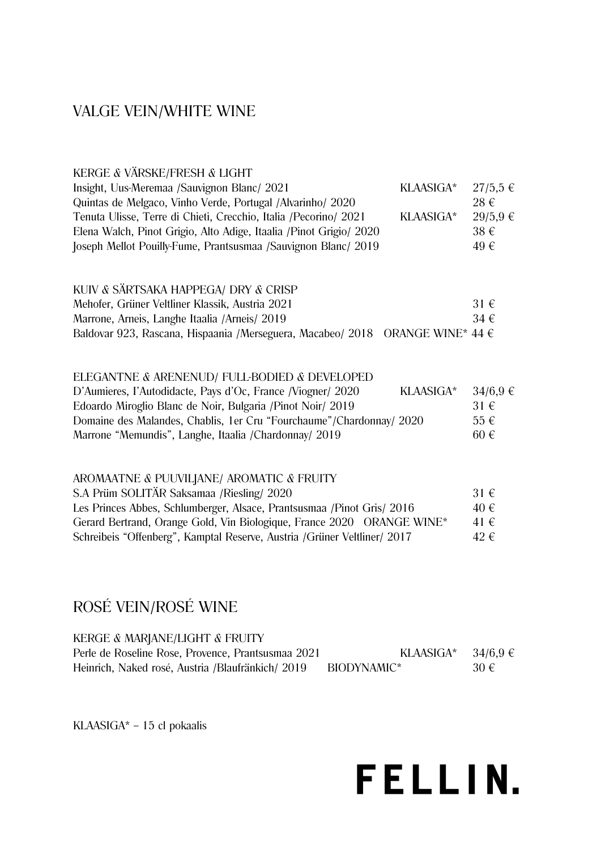#### VALGE VEIN/WHITE WINE

| KERGE & VÄRSKE/FRESH & LIGHT                                                           |              |
|----------------------------------------------------------------------------------------|--------------|
| Insight, Uus-Meremaa /Sauvignon Blanc/ 2021<br>KLAASIGA*                               | $27/5,5 \in$ |
| Quintas de Melgaco, Vinho Verde, Portugal /Alvarinho/ 2020                             | $28 \in$     |
| Tenuta Ulisse, Terre di Chieti, Crecchio, Italia / Pecorino/ 2021<br>KLAASIGA*         | $29/5,9$ €   |
| Elena Walch, Pinot Grigio, Alto Adige, Itaalia / Pinot Grigio/ 2020                    | $38 \in$     |
| Joseph Mellot Pouilly-Fume, Prantsusmaa /Sauvignon Blanc/ 2019                         | 49€          |
| KUIV & SÄRTSAKA HAPPEGA/ DRY & CRISP                                                   |              |
| Mehofer, Grüner Veltliner Klassik, Austria 2021                                        | $31 \in$     |
| Marrone, Arneis, Langhe Itaalia / Arneis/ 2019                                         | $34 \in$     |
| Baldovar 923, Rascana, Hispaania /Merseguera, Macabeo/ 2018 ORANGE WINE* 44 $\epsilon$ |              |
|                                                                                        |              |
| ELEGANTNE & ARENENUD/ FULL-BODIED & DEVELOPED                                          |              |
| D'Aumieres, l'Autodidacte, Pays d'Oc, France /Viogner/ 2020<br>KLAASIGA*               | $34/6,9 \in$ |
| Edoardo Miroglio Blanc de Noir, Bulgaria / Pinot Noir/ 2019                            | $31 \in$     |
| Domaine des Malandes, Chablis, 1er Cru "Fourchaume"/Chardonnay/ 2020                   | $55 \in$     |
| Marrone "Memundis", Langhe, Itaalia /Chardonnay/ 2019                                  | $60 \in$     |

| AROMAATNE & PUUVILJANE/AROMATIC & FRUITY                                 |          |
|--------------------------------------------------------------------------|----------|
| S.A Prüm SOLITÄR Saksamaa /Riesling/ 2020                                | $31 \in$ |
| Les Princes Abbes, Schlumberger, Alsace, Prantsusmaa / Pinot Gris/ 2016  | 40 €     |
| Gerard Bertrand, Orange Gold, Vin Biologique, France 2020 ORANGE WINE*   | 41 €     |
| Schreibeis "Offenberg", Kamptal Reserve, Austria /Grüner Veltliner/ 2017 | 42 €     |

## ROSÉ VEIN/ROSÉ WINE

Marrone "Memundis", Langhe, Itaalia /Chardonnay/ 2019

AROMAATNE & PUUVILJANE/ AROMATIC & FRUITY

| KERGE & MARJANE/LIGHT & FRUITY                     |             |              |
|----------------------------------------------------|-------------|--------------|
| Perle de Roseline Rose, Provence, Prantsusmaa 2021 | KLAASIGA*   | $34/6.9 \in$ |
| Heinrich, Naked rosé, Austria /Blaufränkich/ 2019  | BIODYNAMIC* | $30 \in$     |

KLAASIGA\* - 15 cl pokaalis

## **FELLIN.**